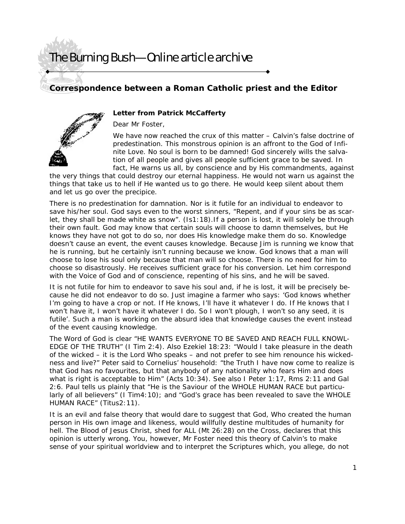### **Correspondence between a Roman Catholic priest and the Editor**



### **Letter from Patrick McCafferty**

Dear Mr Foster,

We have now reached the crux of this matter – Calvin's false doctrine of predestination. This monstrous opinion is an affront to the God of Infinite Love. No soul is born to be damned! God sincerely wills the salvation of all people and gives all people sufficient grace to be saved. In fact, He warns us all, by conscience and by His commandments, against

the very things that could destroy our eternal happiness. He would not warn us against the things that take us to hell if He wanted us to go there. He would keep silent about them and let us go over the precipice.

There is no predestination for damnation. Nor is it futile for an individual to endeavor to save his/her soul. God says even to the worst sinners, "Repent, and if your sins be as scarlet, they shall be made white as snow". (Is1:18).If a person is lost, it will solely be through their own fault. God may know that certain souls will choose to damn themselves, but He knows they have not got to do so, nor does His knowledge make them do so. Knowledge doesn't cause an event, the event causes knowledge. Because Jim is running we know that he is running, but he certainly isn't running because we know. God knows that a man will choose to lose his soul only because that man will so choose. There is no need for him to choose so disastrously. He receives sufficient grace for his conversion. Let him correspond with the Voice of God and of conscience, repenting of his sins, and he will be saved.

It is not futile for him to endeavor to save his soul and, if he is lost, it will be precisely because he did not endeavor to do so. Just imagine a farmer who says: 'God knows whether I'm going to have a crop or not. If He knows, I'll have it whatever I do. If He knows that I won't have it, I won't have it whatever I do. So I won't plough, I won't so any seed, it is futile'. Such a man is working on the absurd idea that knowledge causes the event instead of the event causing knowledge.

The Word of God is clear "HE WANTS EVERYONE TO BE SAVED AND REACH FULL KNOWL-EDGE OF THE TRUTH" (I Tim 2:4). Also Ezekiel 18:23: "Would I take pleasure in the death of the wicked – it is the Lord Who speaks – and not prefer to see him renounce his wickedness and live?" Peter said to Cornelius' household: "the Truth I have now come to realize is that God has no favourites, but that anybody of any nationality who fears Him and does what is right is acceptable to Him" (Acts 10:34). See also I Peter 1:17, Rms 2:11 and Gal 2:6. Paul tells us plainly that "He is the Saviour of the WHOLE HUMAN RACE but particularly of all believers" (I Tim4:10); and "God's grace has been revealed to save the WHOLE HUMAN RACE" (Titus2:11).

It is an evil and false theory that would dare to suggest that God, Who created the human person in His own image and likeness, would willfully destine multitudes of humanity for hell. The Blood of Jesus Christ, shed for ALL (Mt 26:28) on the Cross, declares that this opinion is utterly wrong. You, however, Mr Foster need this theory of Calvin's to make sense of your spiritual worldview and to interpret the Scriptures which, you allege, do not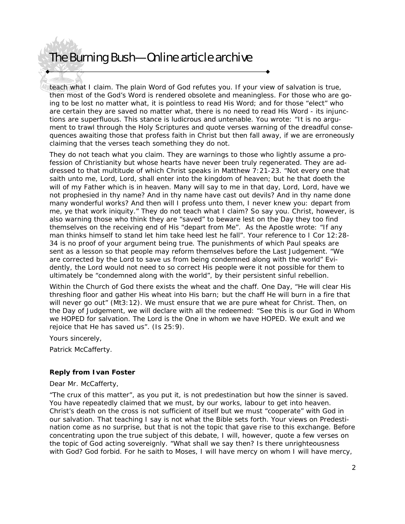teach what I claim. The plain Word of God refutes you. If your view of salvation is true, then most of the God's Word is rendered obsolete and meaningless. For those who are going to be lost no matter what, it is pointless to read His Word; and for those "elect" who are certain they are saved no matter what, there is no need to read His Word - its injunctions are superfluous. This stance is ludicrous and untenable. You wrote: "It is no argument to trawl through the Holy Scriptures and quote verses warning of the dreadful consequences awaiting those that profess faith in Christ but then fall away, if we are erroneously claiming that the verses teach something they do not.

They do not teach what you claim. They are warnings to those who lightly assume a profession of Christianity but whose hearts have never been truly regenerated. They are addressed to that multitude of which Christ speaks in Matthew 7:21-23. "Not every one that saith unto me, Lord, Lord, shall enter into the kingdom of heaven; but he that doeth the will of my Father which is in heaven. Many will say to me in that day, Lord, Lord, have we not prophesied in thy name? And in thy name have cast out devils? And in thy name done many wonderful works? And then will I profess unto them, I never knew you: depart from me, ye that work iniquity." They do not teach what I claim? So say you. Christ, however, is also warning those who think they are "saved" to beware lest on the Day they too find themselves on the receiving end of His "depart from Me". As the Apostle wrote: "If any man thinks himself to stand let him take heed lest he fall". Your reference to I Cor 12:28- 34 is no proof of your argument being true. The punishments of which Paul speaks are sent as a lesson so that people may reform themselves before the Last Judgement. "We are corrected by the Lord to save us from being condemned along with the world" Evidently, the Lord would not need to so correct His people were it not possible for them to ultimately be "condemned along with the world", by their persistent sinful rebellion.

Within the Church of God there exists the wheat and the chaff. One Day, "He will clear His threshing floor and gather His wheat into His barn; but the chaff He will burn in a fire that will never go out" (Mt3:12). We must ensure that we are pure wheat for Christ. Then, on the Day of Judgement, we will declare with all the redeemed: "See this is our God in Whom we HOPED for salvation. The Lord is the One in whom we have HOPED. We exult and we rejoice that He has saved us". (Is 25:9).

Yours sincerely,

Patrick McCafferty.

#### **Reply from Ivan Foster**

Dear Mr. McCafferty,

"The crux of this matter", as you put it, is not predestination but how the sinner is saved. You have repeatedly claimed that we must, by our works, labour to get into heaven. Christ's death on the cross is not sufficient of itself but we must "cooperate" with God in our salvation. That teaching I say is not what the Bible sets forth. Your views on Predestination come as no surprise, but that is not the topic that gave rise to this exchange. Before concentrating upon the true subject of this debate, I will, however, quote a few verses on the topic of God acting sovereignly. "What shall we say then? Is there unrighteousness with God? God forbid. For he saith to Moses, I will have mercy on whom I will have mercy,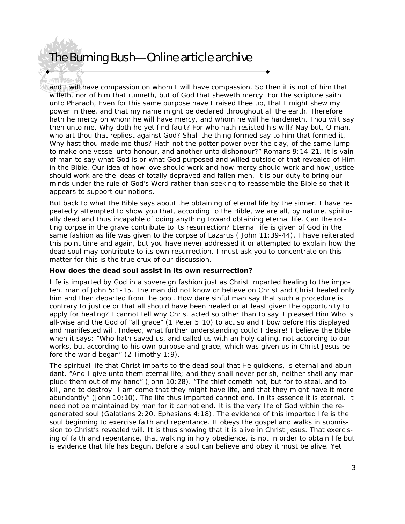and I will have compassion on whom I will have compassion. So then it is not of him that willeth, nor of him that runneth, but of God that sheweth mercy. For the scripture saith unto Pharaoh, Even for this same purpose have I raised thee up, that I might shew my power in thee, and that my name might be declared throughout all the earth. Therefore hath he mercy on whom he will have mercy, and whom he will he hardeneth. Thou wilt say then unto me, Why doth he yet find fault? For who hath resisted his will? Nay but, O man, who art thou that repliest against God? Shall the thing formed say to him that formed it, Why hast thou made me thus? Hath not the potter power over the clay, of the same lump to make one vessel unto honour, and another unto dishonour?" Romans 9:14-21. It is vain of man to say what God is or what God purposed and willed outside of that revealed of Him in the Bible. Our idea of how love should work and how mercy should work and how justice should work are the ideas of totally depraved and fallen men. It is our duty to bring our minds under the rule of God's Word rather than seeking to reassemble the Bible so that it appears to support our notions.

But back to what the Bible says about the obtaining of eternal life by the sinner. I have repeatedly attempted to show you that, according to the Bible, we are all, by nature, spiritually dead and thus incapable of doing anything toward obtaining eternal life. Can the rotting corpse in the grave contribute to its resurrection? Eternal life is given of God in the same fashion as life was given to the corpse of Lazarus ( John 11:39-44). I have reiterated this point time and again, but you have never addressed it or attempted to explain how the dead soul may contribute to its own resurrection. I must ask you to concentrate on this matter for this is the true crux of our discussion.

#### **How does the dead soul assist in its own resurrection?**

Life is imparted by God in a sovereign fashion just as Christ imparted healing to the impotent man of John 5:1-15. The man did not know or believe on Christ and Christ healed only him and then departed from the pool. How dare sinful man say that such a procedure is contrary to justice or that all should have been healed or at least given the opportunity to apply for healing? I cannot tell why Christ acted so other than to say it pleased Him Who is all-wise and the God of "all grace" (1 Peter 5:10) to act so and I bow before His displayed and manifested will. Indeed, what further understanding could I desire! I believe the Bible when it says: "Who hath saved us, and called us with an holy calling, not according to our works, but according to his own purpose and grace, which was given us in Christ Jesus before the world began" (2 Timothy 1:9).

The spiritual life that Christ imparts to the dead soul that He quickens, is eternal and abundant. "And I give unto them eternal life; and they shall never perish, neither shall any man pluck them out of my hand" (John 10:28). "The thief cometh not, but for to steal, and to kill, and to destroy: I am come that they might have life, and that they might have it more abundantly" (John 10:10). The life thus imparted cannot end. In its essence it is eternal. It need not be maintained by man for it cannot end. It is the very life of God within the regenerated soul (Galatians 2:20, Ephesians 4:18). The evidence of this imparted life is the soul beginning to exercise faith and repentance. It obeys the gospel and walks in submission to Christ's revealed will. It is thus showing that it is alive in Christ Jesus. That exercising of faith and repentance, that walking in holy obedience, is not in order to obtain life but is evidence that life has begun. Before a soul can believe and obey it must be alive. Yet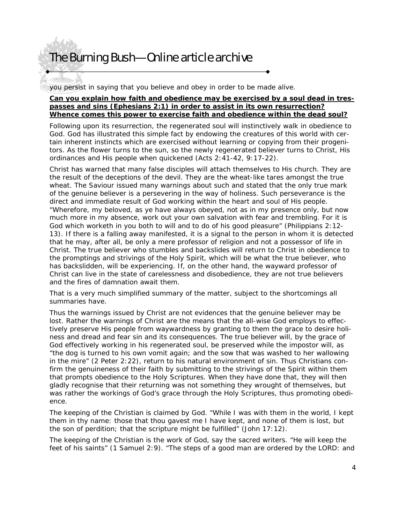you persist in saying that you believe and obey in order to be made alive.

### **Can you explain how faith and obedience may be exercised by a soul dead in trespasses and sins (Ephesians 2:1) in order to assist in its own resurrection? Whence comes this power to exercise faith and obedience within the dead soul?**

Following upon its resurrection, the regenerated soul will instinctively walk in obedience to God. God has illustrated this simple fact by endowing the creatures of this world with certain inherent instincts which are exercised without learning or copying from their progenitors. As the flower turns to the sun, so the newly regenerated believer turns to Christ, His ordinances and His people when quickened (Acts 2:41-42, 9:17-22).

Christ has warned that many false disciples will attach themselves to His church. They are the result of the deceptions of the devil. They are the wheat-like tares amongst the true wheat. The Saviour issued many warnings about such and stated that the only true mark of the genuine believer is a persevering in the way of holiness. Such perseverance is the direct and immediate result of God working within the heart and soul of His people. "Wherefore, my beloved, as ye have always obeyed, not as in my presence only, but now much more in my absence, work out your own salvation with fear and trembling. For it is God which worketh in you both to will and to do of his good pleasure" (Philippians 2:12- 13). If there is a falling away manifested, it is a signal to the person in whom it is detected that he may, after all, be only a mere professor of religion and not a possessor of life in Christ. The true believer who stumbles and backslides will return to Christ in obedience to the promptings and strivings of the Holy Spirit, which will be what the true believer, who has backslidden, will be experiencing. If, on the other hand, the wayward professor of Christ can live in the state of carelessness and disobedience, they are not true believers and the fires of damnation await them.

That is a very much simplified summary of the matter, subject to the shortcomings all summaries have.

Thus the warnings issued by Christ are not evidences that the genuine believer may be lost. Rather the warnings of Christ are the means that the all-wise God employs to effectively preserve His people from waywardness by granting to them the grace to desire holiness and dread and fear sin and its consequences. The true believer will, by the grace of God effectively working in his regenerated soul, be preserved while the impostor will, as "the dog is turned to his own vomit again; and the sow that was washed to her wallowing in the mire" (2 Peter 2:22), return to his natural environment of sin. Thus Christians confirm the genuineness of their faith by submitting to the strivings of the Spirit within them that prompts obedience to the Holy Scriptures. When they have done that, they will then gladly recognise that their returning was not something they wrought of themselves, but was rather the workings of God's grace through the Holy Scriptures, thus promoting obedience.

The keeping of the Christian is claimed by God. "While I was with them in the world, I kept them in thy name: those that thou gavest me I have kept, and none of them is lost, but the son of perdition; that the scripture might be fulfilled" (John 17:12).

The keeping of the Christian is the work of God, say the sacred writers. "He will keep the feet of his saints" (1 Samuel 2:9). "The steps of a good man are ordered by the LORD: and